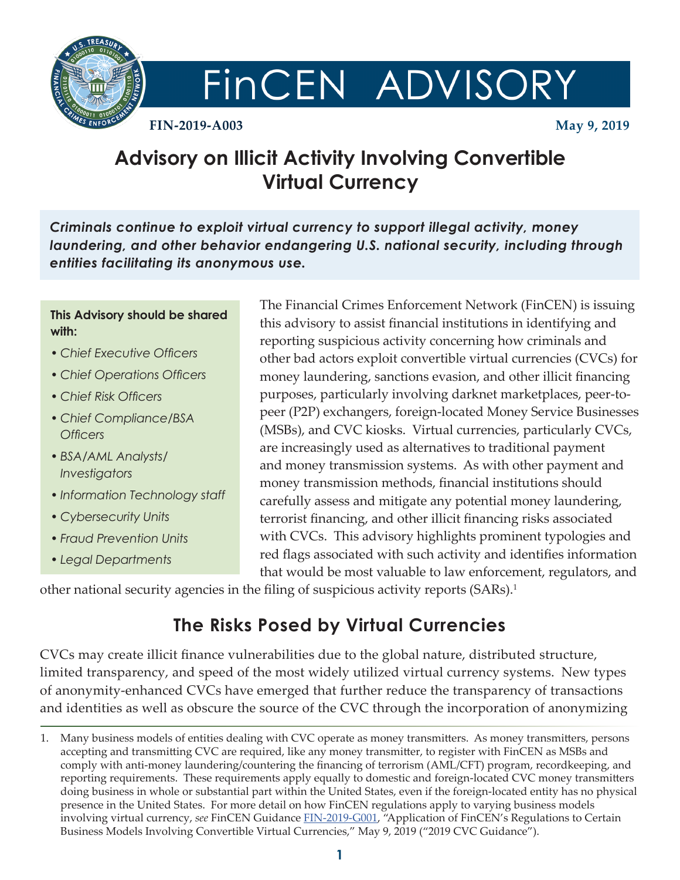

# FINCEN ADVISORY

**FIN-2019-A003 May 9, 2019**

# **Advisory on Illicit Activity Involving Convertible Virtual Currency**

*Criminals continue to exploit virtual currency to support illegal activity, money laundering, and other behavior endangering U.S. national security, including through entities facilitating its anonymous use.*

#### **This Advisory should be shared with:**

- *Chief Executive Officers*
- *Chief Operations Officers*
- *Chief Risk Officers*
- *Chief Compliance/BSA Officers*
- *BSA/AML Analysts/ Investigators*
- *Information Technology staff*
- *Cybersecurity Units*
- *Fraud Prevention Units*
- *Legal Departments*

The Financial Crimes Enforcement Network (FinCEN) is issuing this advisory to assist financial institutions in identifying and reporting suspicious activity concerning how criminals and other bad actors exploit convertible virtual currencies (CVCs) for money laundering, sanctions evasion, and other illicit financing purposes, particularly involving darknet marketplaces, peer-topeer (P2P) exchangers, foreign-located Money Service Businesses (MSBs), and CVC kiosks. Virtual currencies, particularly CVCs, are increasingly used as alternatives to traditional payment and money transmission systems. As with other payment and money transmission methods, financial institutions should carefully assess and mitigate any potential money laundering, terrorist financing, and other illicit financing risks associated with CVCs. This advisory highlights prominent typologies and red flags associated with such activity and identifies information that would be most valuable to law enforcement, regulators, and

other national security agencies in the filing of suspicious activity reports (SARs).<sup>1</sup>

## **The Risks Posed by Virtual Currencies**

CVCs may create illicit finance vulnerabilities due to the global nature, distributed structure, limited transparency, and speed of the most widely utilized virtual currency systems. New types of anonymity-enhanced CVCs have emerged that further reduce the transparency of transactions and identities as well as obscure the source of the CVC through the incorporation of anonymizing

<sup>1.</sup> Many business models of entities dealing with CVC operate as money transmitters. As money transmitters, persons accepting and transmitting CVC are required, like any money transmitter, to register with FinCEN as MSBs and comply with anti-money laundering/countering the financing of terrorism (AML/CFT) program, recordkeeping, and reporting requirements. These requirements apply equally to domestic and foreign-located CVC money transmitters doing business in whole or substantial part within the United States, even if the foreign-located entity has no physical presence in the United States. For more detail on how FinCEN regulations apply to varying business models involving virtual currency, *see* FinCEN Guidance [FIN-2019-G001](https://www.fincen.gov/resources/statutes-regulations/guidance/application-fincens-regulations-certain-business-models), "Application of FinCEN's Regulations to Certain Business Models Involving Convertible Virtual Currencies," May 9, 2019 ("2019 CVC Guidance").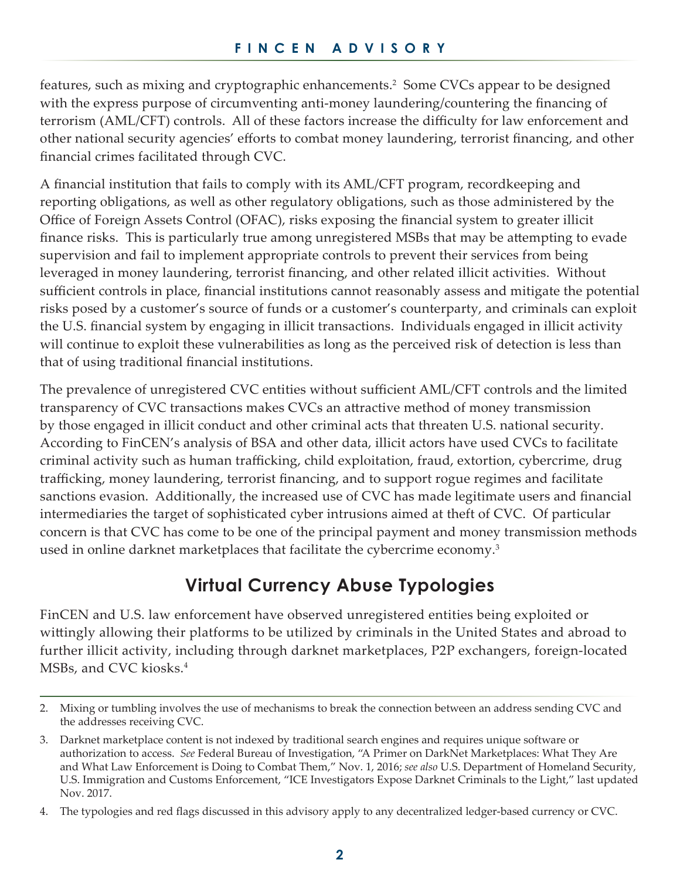features, such as mixing and cryptographic enhancements.<sup>2</sup> Some CVCs appear to be designed with the express purpose of circumventing anti-money laundering/countering the financing of terrorism (AML/CFT) controls. All of these factors increase the difficulty for law enforcement and other national security agencies' efforts to combat money laundering, terrorist financing, and other financial crimes facilitated through CVC.

A financial institution that fails to comply with its AML/CFT program, recordkeeping and reporting obligations, as well as other regulatory obligations, such as those administered by the Office of Foreign Assets Control (OFAC), risks exposing the financial system to greater illicit finance risks. This is particularly true among unregistered MSBs that may be attempting to evade supervision and fail to implement appropriate controls to prevent their services from being leveraged in money laundering, terrorist financing, and other related illicit activities. Without sufficient controls in place, financial institutions cannot reasonably assess and mitigate the potential risks posed by a customer's source of funds or a customer's counterparty, and criminals can exploit the U.S. financial system by engaging in illicit transactions. Individuals engaged in illicit activity will continue to exploit these vulnerabilities as long as the perceived risk of detection is less than that of using traditional financial institutions.

The prevalence of unregistered CVC entities without sufficient AML/CFT controls and the limited transparency of CVC transactions makes CVCs an attractive method of money transmission by those engaged in illicit conduct and other criminal acts that threaten U.S. national security. According to FinCEN's analysis of BSA and other data, illicit actors have used CVCs to facilitate criminal activity such as human trafficking, child exploitation, fraud, extortion, cybercrime, drug trafficking, money laundering, terrorist financing, and to support rogue regimes and facilitate sanctions evasion. Additionally, the increased use of CVC has made legitimate users and financial intermediaries the target of sophisticated cyber intrusions aimed at theft of CVC. Of particular concern is that CVC has come to be one of the principal payment and money transmission methods used in online darknet marketplaces that facilitate the cybercrime economy.<sup>3</sup>

## **Virtual Currency Abuse Typologies**

FinCEN and U.S. law enforcement have observed unregistered entities being exploited or wittingly allowing their platforms to be utilized by criminals in the United States and abroad to further illicit activity, including through darknet marketplaces, P2P exchangers, foreign-located MSBs, and CVC kiosks.4

<sup>2.</sup> Mixing or tumbling involves the use of mechanisms to break the connection between an address sending CVC and the addresses receiving CVC.

<sup>3.</sup> Darknet marketplace content is not indexed by traditional search engines and requires unique software or authorization to access. *See* Federal Bureau of Investigation, "A Primer on DarkNet Marketplaces: What They Are and What Law Enforcement is Doing to Combat Them," Nov. 1, 2016; *see also* U.S. Department of Homeland Security, U.S. Immigration and Customs Enforcement, "ICE Investigators Expose Darknet Criminals to the Light," last updated Nov. 2017.

<sup>4.</sup> The typologies and red flags discussed in this advisory apply to any decentralized ledger-based currency or CVC.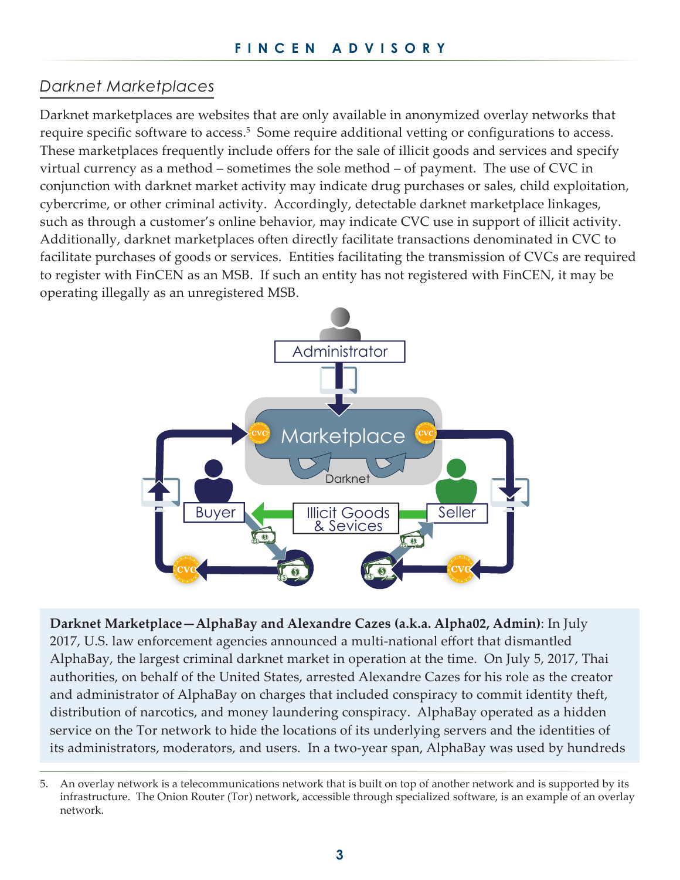#### *Darknet Marketplaces*

Darknet marketplaces are websites that are only available in anonymized overlay networks that require specific software to access.<sup>5</sup> Some require additional vetting or configurations to access. These marketplaces frequently include offers for the sale of illicit goods and services and specify virtual currency as a method – sometimes the sole method – of payment. The use of CVC in conjunction with darknet market activity may indicate drug purchases or sales, child exploitation, cybercrime, or other criminal activity. Accordingly, detectable darknet marketplace linkages, such as through a customer's online behavior, may indicate CVC use in support of illicit activity. Additionally, darknet marketplaces often directly facilitate transactions denominated in CVC to facilitate purchases of goods or services. Entities facilitating the transmission of CVCs are required to register with FinCEN as an MSB. If such an entity has not registered with FinCEN, it may be operating illegally as an unregistered MSB.



**Darknet Marketplace—AlphaBay and Alexandre Cazes (a.k.a. Alpha02, Admin)**: In July 2017, U.S. law enforcement agencies announced a multi-national effort that dismantled AlphaBay, the largest criminal darknet market in operation at the time. On July 5, 2017, Thai authorities, on behalf of the United States, arrested Alexandre Cazes for his role as the creator and administrator of AlphaBay on charges that included conspiracy to commit identity theft, distribution of narcotics, and money laundering conspiracy. AlphaBay operated as a hidden service on the Tor network to hide the locations of its underlying servers and the identities of its administrators, moderators, and users. In a two-year span, AlphaBay was used by hundreds

<sup>5.</sup> An overlay network is a telecommunications network that is built on top of another network and is supported by its infrastructure. The Onion Router (Tor) network, accessible through specialized software, is an example of an overlay network.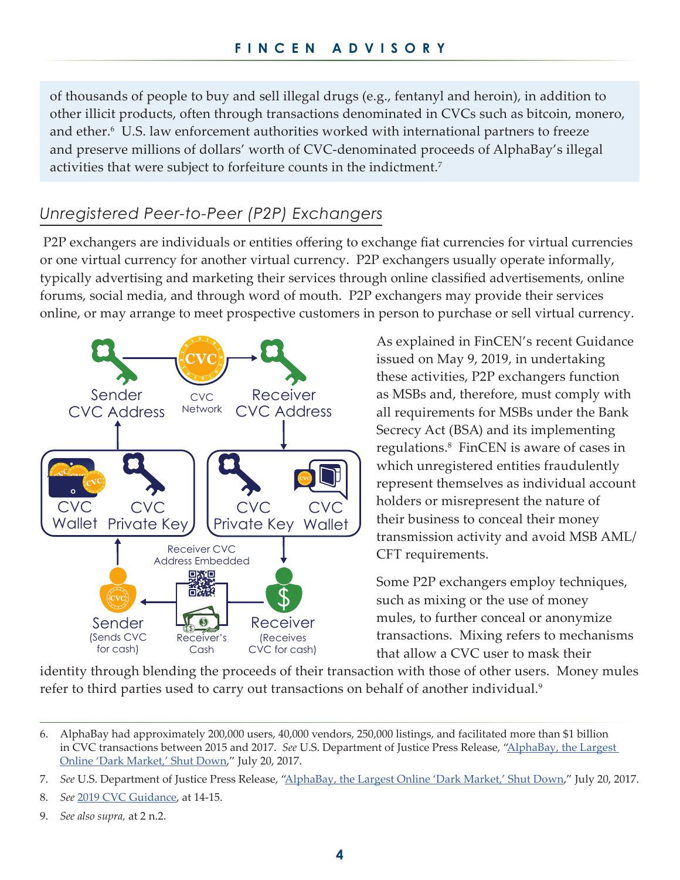of thousands of people to buy and sell illegal drugs (e.g., fentanyl and heroin), in addition to other illicit products, often through transactions denominated in CVCs such as bitcoin, monero, and ether. $6$  U.S. law enforcement authorities worked with international partners to freeze and preserve millions of dollars' worth of CVC-denominated proceeds of AlphaBay's illegal activities that were subject to forfeiture counts in the indictment.<sup>7</sup>

### *Unregistered Peer-to-Peer (P2P) Exchangers*

 P2P exchangers are individuals or entities offering to exchange fiat currencies for virtual currencies or one virtual currency for another virtual currency. P2P exchangers usually operate informally, typically advertising and marketing their services through online classified advertisements, online forums, social media, and through word of mouth. P2P exchangers may provide their services online, or may arrange to meet prospective customers in person to purchase or sell virtual currency.



As explained in FinCEN's recent Guidance issued on May 9, 2019, in undertaking these activities, P2P exchangers function as MSBs and, therefore, must comply with all requirements for MSBs under the Bank Secrecy Act (BSA) and its implementing regulations. 8 FinCEN is aware of cases in which unregistered entities fraudulently represent themselves as individual account holders or misrepresent the nature of their business to conceal their money transmission activity and avoid MSB AML/ CFT requirements.

Some P2P exchangers employ techniques, such as mixing or the use of money mules, to further conceal or anonymize transactions. Mixing refers to mechanisms that allow a CVC user to mask their

identity through blending the proceeds of their transaction with those of other users. Money mules refer to third parties used to carry out transactions on behalf of another individual.<sup>9</sup>

9. *See also supra,* at 2 n.2.

<sup>6.</sup> AlphaBay had approximately 200,000 users, 40,000 vendors, 250,000 listings, and facilitated more than \$1 billion in CVC transactions between 2015 and 2017. *See* U.S. Department of Justice Press Release, ["AlphaBay, the Largest](https://www.justice.gov/opa/pr/alphabay-largest-online-dark-market-shut-down)  [Online 'Dark Market,' Shut Down](https://www.justice.gov/opa/pr/alphabay-largest-online-dark-market-shut-down)," July 20, 2017.

<sup>7.</sup> *See* U.S. Department of Justice Press Release, ["AlphaBay, the Largest Online 'Dark Market,' Shut Down](https://www.justice.gov/opa/pr/alphabay-largest-online-dark-market-shut-down)," July 20, 2017.

<sup>8.</sup> *See* [2019 CVC Guidance,](https://www.fincen.gov/resources/statutes-regulations/guidance/application-fincens-regulations-certain-business-models) at 14-15.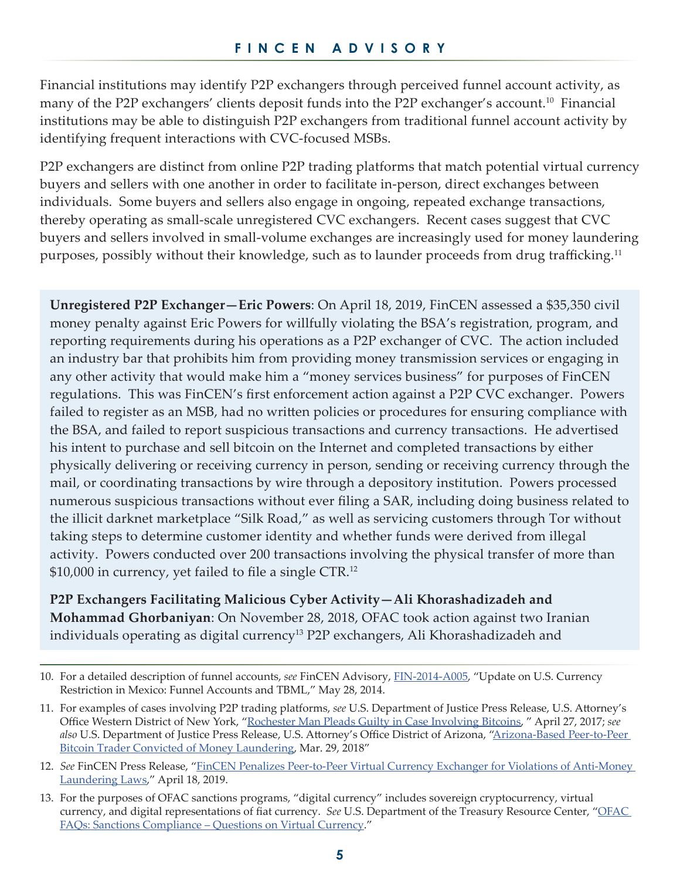Financial institutions may identify P2P exchangers through perceived funnel account activity, as many of the P2P exchangers' clients deposit funds into the P2P exchanger's account.<sup>10</sup> Financial institutions may be able to distinguish P2P exchangers from traditional funnel account activity by identifying frequent interactions with CVC-focused MSBs.

P2P exchangers are distinct from online P2P trading platforms that match potential virtual currency buyers and sellers with one another in order to facilitate in-person, direct exchanges between individuals. Some buyers and sellers also engage in ongoing, repeated exchange transactions, thereby operating as small-scale unregistered CVC exchangers. Recent cases suggest that CVC buyers and sellers involved in small-volume exchanges are increasingly used for money laundering purposes, possibly without their knowledge, such as to launder proceeds from drug trafficking.<sup>11</sup>

**Unregistered P2P Exchanger—Eric Powers**: On April 18, 2019, FinCEN assessed a \$35,350 civil money penalty against Eric Powers for willfully violating the BSA's registration, program, and reporting requirements during his operations as a P2P exchanger of CVC. The action included an industry bar that prohibits him from providing money transmission services or engaging in any other activity that would make him a "money services business" for purposes of FinCEN regulations. This was FinCEN's first enforcement action against a P2P CVC exchanger. Powers failed to register as an MSB, had no written policies or procedures for ensuring compliance with the BSA, and failed to report suspicious transactions and currency transactions. He advertised his intent to purchase and sell bitcoin on the Internet and completed transactions by either physically delivering or receiving currency in person, sending or receiving currency through the mail, or coordinating transactions by wire through a depository institution. Powers processed numerous suspicious transactions without ever filing a SAR, including doing business related to the illicit darknet marketplace "Silk Road," as well as servicing customers through Tor without taking steps to determine customer identity and whether funds were derived from illegal activity. Powers conducted over 200 transactions involving the physical transfer of more than \$10,000 in currency, yet failed to file a single CTR.<sup>12</sup>

**P2P Exchangers Facilitating Malicious Cyber Activity—Ali Khorashadizadeh and Mohammad Ghorbaniyan**: On November 28, 2018, OFAC took action against two Iranian individuals operating as digital currency<sup>13</sup> P2P exchangers, Ali Khorashadizadeh and

<sup>10.</sup> For a detailed description of funnel accounts, *see* FinCEN Advisory, [FIN-2014-A005](https://www.fincen.gov/sites/default/files/advisory/FIN-2014-A005.pdf), "Update on U.S. Currency Restriction in Mexico: Funnel Accounts and TBML," May 28, 2014.

<sup>11.</sup> For examples of cases involving P2P trading platforms, *see* U.S. Department of Justice Press Release, U.S. Attorney's Office Western District of New York, "[Rochester Man Pleads Guilty in Case Involving Bitcoins](https://www.justice.gov/usao-wdny/pr/rochester-man-pleads-guilty-case-involving-bitcoins), " April 27, 2017; *see also* U.S. Department of Justice Press Release, U.S. Attorney's Office District of Arizona, "[Arizona-Based Peer-to-Peer](https://www.justice.gov/usao-az/pr/arizona-based-peer-peer-bitcoin-trader-convicted-money-laundering)  [Bitcoin Trader Convicted of Money Laundering](https://www.justice.gov/usao-az/pr/arizona-based-peer-peer-bitcoin-trader-convicted-money-laundering), Mar. 29, 2018"

<sup>12.</sup> *See* FinCEN Press Release, "[FinCEN Penalizes Peer-to-Peer Virtual Currency Exchanger for Violations of Anti-Money](https://www.fincen.gov/news/news-releases/fincen-penalizes-peer-peer-virtual-currency-exchanger-violations-anti-money)  [Laundering Laws](https://www.fincen.gov/news/news-releases/fincen-penalizes-peer-peer-virtual-currency-exchanger-violations-anti-money)," April 18, 2019.

<sup>13.</sup> For the purposes of OFAC sanctions programs, "digital currency" includes sovereign cryptocurrency, virtual currency, and digital representations of fiat currency. *See* U.S. Department of the Treasury Resource Center, "[OFAC](https://www.treasury.gov/resource-center/faqs/Sanctions/Pages/faq_compliance.aspx#other_fi)  [FAQs: Sanctions Compliance – Questions on Virtual Currency.](https://www.treasury.gov/resource-center/faqs/Sanctions/Pages/faq_compliance.aspx#other_fi)"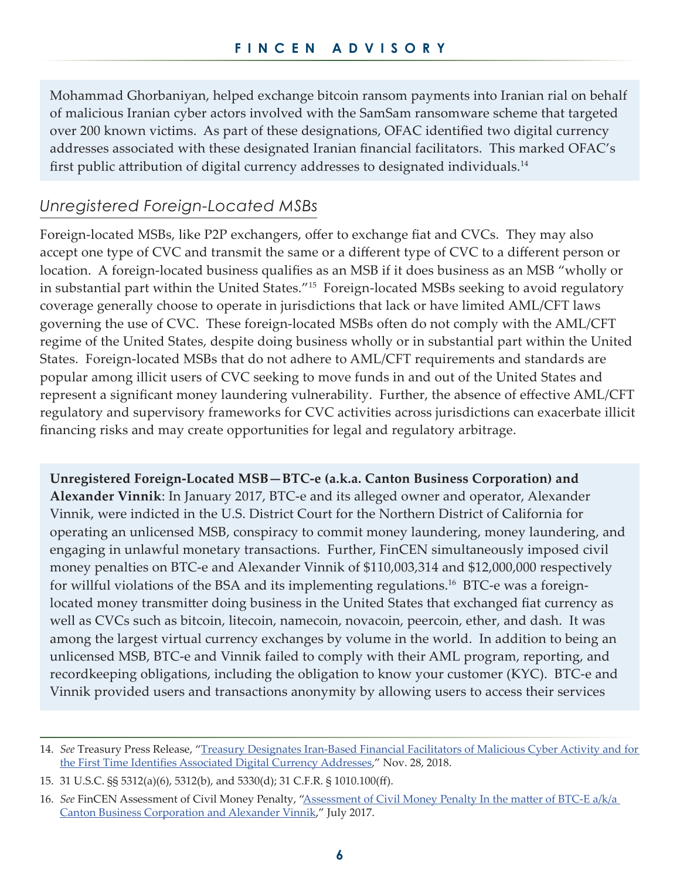Mohammad Ghorbaniyan, helped exchange bitcoin ransom payments into Iranian rial on behalf of malicious Iranian cyber actors involved with the SamSam ransomware scheme that targeted over 200 known victims. As part of these designations, OFAC identified two digital currency addresses associated with these designated Iranian financial facilitators. This marked OFAC's first public attribution of digital currency addresses to designated individuals.<sup>14</sup>

#### *Unregistered Foreign-Located MSBs*

Foreign-located MSBs, like P2P exchangers, offer to exchange fiat and CVCs. They may also accept one type of CVC and transmit the same or a different type of CVC to a different person or location. A foreign-located business qualifies as an MSB if it does business as an MSB "wholly or in substantial part within the United States."15 Foreign-located MSBs seeking to avoid regulatory coverage generally choose to operate in jurisdictions that lack or have limited AML/CFT laws governing the use of CVC. These foreign-located MSBs often do not comply with the AML/CFT regime of the United States, despite doing business wholly or in substantial part within the United States. Foreign-located MSBs that do not adhere to AML/CFT requirements and standards are popular among illicit users of CVC seeking to move funds in and out of the United States and represent a significant money laundering vulnerability. Further, the absence of effective AML/CFT regulatory and supervisory frameworks for CVC activities across jurisdictions can exacerbate illicit financing risks and may create opportunities for legal and regulatory arbitrage.

**Unregistered Foreign-Located MSB—BTC-e (a.k.a. Canton Business Corporation) and Alexander Vinnik**: In January 2017, BTC-e and its alleged owner and operator, Alexander Vinnik, were indicted in the U.S. District Court for the Northern District of California for operating an unlicensed MSB, conspiracy to commit money laundering, money laundering, and engaging in unlawful monetary transactions. Further, FinCEN simultaneously imposed civil money penalties on BTC-e and Alexander Vinnik of \$110,003,314 and \$12,000,000 respectively for willful violations of the BSA and its implementing regulations.<sup>16</sup> BTC-e was a foreignlocated money transmitter doing business in the United States that exchanged fiat currency as well as CVCs such as bitcoin, litecoin, namecoin, novacoin, peercoin, ether, and dash. It was among the largest virtual currency exchanges by volume in the world. In addition to being an unlicensed MSB, BTC-e and Vinnik failed to comply with their AML program, reporting, and recordkeeping obligations, including the obligation to know your customer (KYC). BTC-e and Vinnik provided users and transactions anonymity by allowing users to access their services

<sup>14.</sup> *See* Treasury Press Release, "[Treasury Designates Iran-Based Financial Facilitators of Malicious Cyber Activity and for](https://home.treasury.gov/news/press-releases/sm556)  [the First Time Identifies Associated Digital Currency Addresses](https://home.treasury.gov/news/press-releases/sm556)," Nov. 28, 2018.

<sup>15.</sup> 31 U.S.C. §§ 5312(a)(6), 5312(b), and 5330(d); 31 C.F.R. § 1010.100(ff).

<sup>16.</sup> *See* FinCEN Assessment of Civil Money Penalty, "[Assessment of Civil Money Penalty In the matter of BTC-E a/k/a](https://www.fincen.gov/sites/default/files/enforcement_action/2017-07-26/Assessment for BTCeVinnik FINAL SignDate 07.26.17.pdf)  [Canton Business Corporation and Alexander Vinnik,](https://www.fincen.gov/sites/default/files/enforcement_action/2017-07-26/Assessment for BTCeVinnik FINAL SignDate 07.26.17.pdf)" July 2017.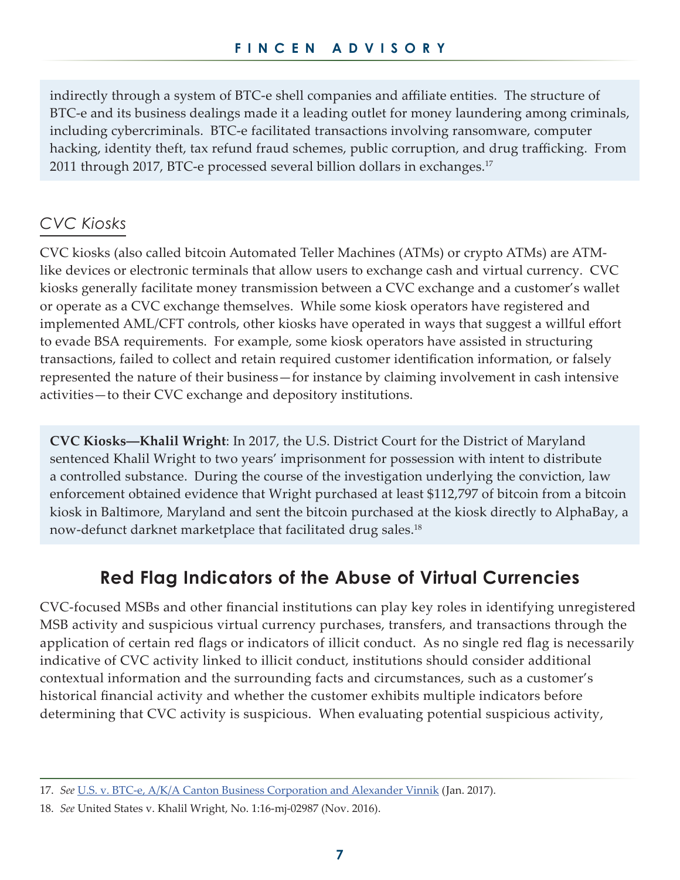indirectly through a system of BTC-e shell companies and affiliate entities. The structure of BTC-e and its business dealings made it a leading outlet for money laundering among criminals, including cybercriminals. BTC-e facilitated transactions involving ransomware, computer hacking, identity theft, tax refund fraud schemes, public corruption, and drug trafficking. From 2011 through 2017, BTC-e processed several billion dollars in exchanges.<sup>17</sup>

#### *CVC Kiosks*

CVC kiosks (also called bitcoin Automated Teller Machines (ATMs) or crypto ATMs) are ATMlike devices or electronic terminals that allow users to exchange cash and virtual currency. CVC kiosks generally facilitate money transmission between a CVC exchange and a customer's wallet or operate as a CVC exchange themselves. While some kiosk operators have registered and implemented AML/CFT controls, other kiosks have operated in ways that suggest a willful effort to evade BSA requirements. For example, some kiosk operators have assisted in structuring transactions, failed to collect and retain required customer identification information, or falsely represented the nature of their business—for instance by claiming involvement in cash intensive activities—to their CVC exchange and depository institutions.

**CVC Kiosks―Khalil Wright**: In 2017, the U.S. District Court for the District of Maryland sentenced Khalil Wright to two years' imprisonment for possession with intent to distribute a controlled substance. During the course of the investigation underlying the conviction, law enforcement obtained evidence that Wright purchased at least \$112,797 of bitcoin from a bitcoin kiosk in Baltimore, Maryland and sent the bitcoin purchased at the kiosk directly to AlphaBay, a now-defunct darknet marketplace that facilitated drug sales.<sup>18</sup>

## **Red Flag Indicators of the Abuse of Virtual Currencies**

CVC-focused MSBs and other financial institutions can play key roles in identifying unregistered MSB activity and suspicious virtual currency purchases, transfers, and transactions through the application of certain red flags or indicators of illicit conduct. As no single red flag is necessarily indicative of CVC activity linked to illicit conduct, institutions should consider additional contextual information and the surrounding facts and circumstances, such as a customer's historical financial activity and whether the customer exhibits multiple indicators before determining that CVC activity is suspicious. When evaluating potential suspicious activity,

<sup>17.</sup> *See* [U.S. v. BTC-e, A/K/A Canton Business Corporation and Alexander Vinnik](https://www.justice.gov/usao-ndca/press-release/file/984661/download) (Jan. 2017).

<sup>18.</sup> *See* United States v. Khalil Wright, No. 1:16-mj-02987 (Nov. 2016).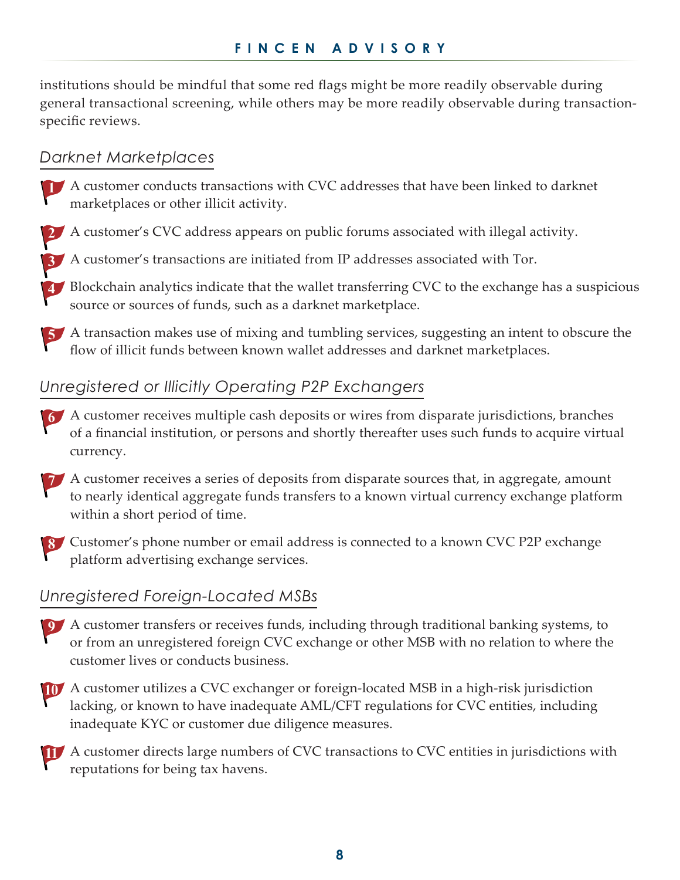institutions should be mindful that some red flags might be more readily observable during general transactional screening, while others may be more readily observable during transactionspecific reviews.

#### *Darknet Marketplaces*

- A customer conducts transactions with CVC addresses that have been linked to darknet marketplaces or other illicit activity.
- **2** A customer's CVC address appears on public forums associated with illegal activity.
- A customer's transactions are initiated from IP addresses associated with Tor.
- **4.** Blockchain analytics indicate that the wallet transferring CVC to the exchange has a suspicious source or sources of funds, such as a darknet marketplace.

 A transaction makes use of mixing and tumbling services, suggesting an intent to obscure the flow of illicit funds between known wallet addresses and darknet marketplaces.

#### *Unregistered or Illicitly Operating P2P Exchangers*

- A customer receives multiple cash deposits or wires from disparate jurisdictions, branches of a financial institution, or persons and shortly thereafter uses such funds to acquire virtual currency.
- A customer receives a series of deposits from disparate sources that, in aggregate, amount to nearly identical aggregate funds transfers to a known virtual currency exchange platform within a short period of time.
- Customer's phone number or email address is connected to a known CVC P2P exchange platform advertising exchange services.

#### *Unregistered Foreign-Located MSBs*

- A customer transfers or receives funds, including through traditional banking systems, to or from an unregistered foreign CVC exchange or other MSB with no relation to where the customer lives or conducts business.
- A customer utilizes a CVC exchanger or foreign-located MSB in a high-risk jurisdiction lacking, or known to have inadequate AML/CFT regulations for CVC entities, including inadequate KYC or customer due diligence measures.
- A customer directs large numbers of CVC transactions to CVC entities in jurisdictions with reputations for being tax havens.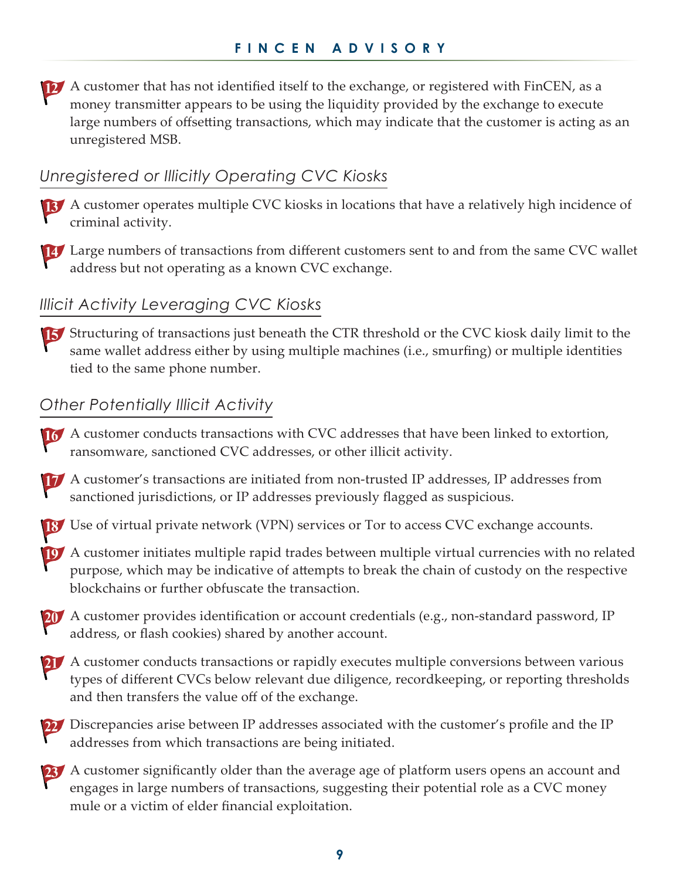A customer that has not identified itself to the exchange, or registered with FinCEN, as a money transmitter appears to be using the liquidity provided by the exchange to execute large numbers of offsetting transactions, which may indicate that the customer is acting as an unregistered MSB.

#### *Unregistered or Illicitly Operating CVC Kiosks*

- A customer operates multiple CVC kiosks in locations that have a relatively high incidence of criminal activity.
- Large numbers of transactions from different customers sent to and from the same CVC wallet address but not operating as a known CVC exchange.

## *Illicit Activity Leveraging CVC Kiosks*

If Structuring of transactions just beneath the CTR threshold or the CVC kiosk daily limit to the same wallet address either by using multiple machines (i.e., smurfing) or multiple identities tied to the same phone number.

#### *Other Potentially Illicit Activity*

- 16 A customer conducts transactions with CVC addresses that have been linked to extortion, ransomware, sanctioned CVC addresses, or other illicit activity.
- A customer's transactions are initiated from non-trusted IP addresses, IP addresses from sanctioned jurisdictions, or IP addresses previously flagged as suspicious.
- Use of virtual private network (VPN) services or Tor to access CVC exchange accounts.
- A customer initiates multiple rapid trades between multiple virtual currencies with no related purpose, which may be indicative of attempts to break the chain of custody on the respective blockchains or further obfuscate the transaction.
- 20 A customer provides identification or account credentials (e.g., non-standard password, IP address, or flash cookies) shared by another account.
- 21 A customer conducts transactions or rapidly executes multiple conversions between various types of different CVCs below relevant due diligence, recordkeeping, or reporting thresholds and then transfers the value off of the exchange.
- 22 Discrepancies arise between IP addresses associated with the customer's profile and the IP addresses from which transactions are being initiated.
- 23 A customer significantly older than the average age of platform users opens an account and engages in large numbers of transactions, suggesting their potential role as a CVC money mule or a victim of elder financial exploitation.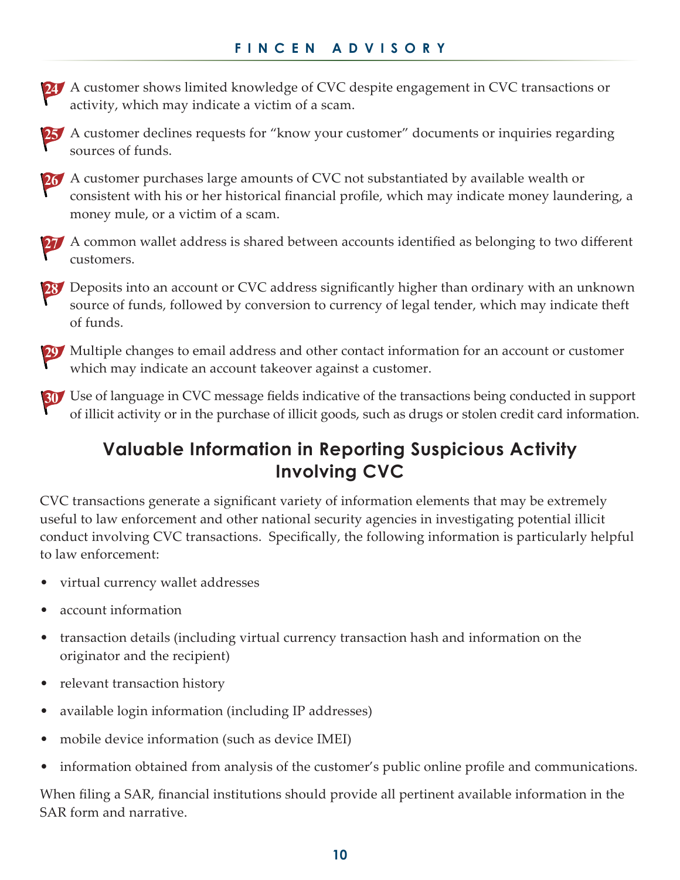24 A customer shows limited knowledge of CVC despite engagement in CVC transactions or activity, which may indicate a victim of a scam.

25 A customer declines requests for "know your customer" documents or inquiries regarding sources of funds.



26 A customer purchases large amounts of CVC not substantiated by available wealth or consistent with his or her historical financial profile, which may indicate money laundering, a money mule, or a victim of a scam.

27 A common wallet address is shared between accounts identified as belonging to two different customers.

28 Deposits into an account or CVC address significantly higher than ordinary with an unknown source of funds, followed by conversion to currency of legal tender, which may indicate theft of funds.

29 Multiple changes to email address and other contact information for an account or customer which may indicate an account takeover against a customer.

**30** Use of language in CVC message fields indicative of the transactions being conducted in support of illicit activity or in the purchase of illicit goods, such as drugs or stolen credit card information.

## **Valuable Information in Reporting Suspicious Activity Involving CVC**

CVC transactions generate a significant variety of information elements that may be extremely useful to law enforcement and other national security agencies in investigating potential illicit conduct involving CVC transactions. Specifically, the following information is particularly helpful to law enforcement:

- virtual currency wallet addresses
- account information
- transaction details (including virtual currency transaction hash and information on the originator and the recipient)
- relevant transaction history
- available login information (including IP addresses)
- mobile device information (such as device IMEI)
- information obtained from analysis of the customer's public online profile and communications.

When filing a SAR, financial institutions should provide all pertinent available information in the SAR form and narrative.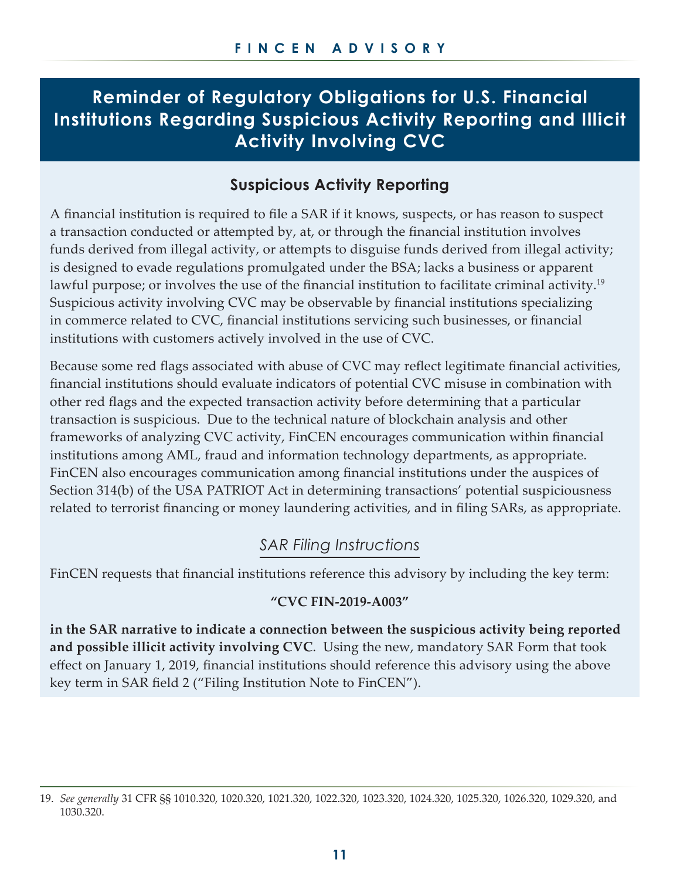## **Reminder of Regulatory Obligations for U.S. Financial Institutions Regarding Suspicious Activity Reporting and Illicit Activity Involving CVC**

#### **Suspicious Activity Reporting**

A financial institution is required to file a SAR if it knows, suspects, or has reason to suspect a transaction conducted or attempted by, at, or through the financial institution involves funds derived from illegal activity, or attempts to disguise funds derived from illegal activity; is designed to evade regulations promulgated under the BSA; lacks a business or apparent lawful purpose; or involves the use of the financial institution to facilitate criminal activity.<sup>19</sup> Suspicious activity involving CVC may be observable by financial institutions specializing in commerce related to CVC, financial institutions servicing such businesses, or financial institutions with customers actively involved in the use of CVC.

Because some red flags associated with abuse of CVC may reflect legitimate financial activities, financial institutions should evaluate indicators of potential CVC misuse in combination with other red flags and the expected transaction activity before determining that a particular transaction is suspicious. Due to the technical nature of blockchain analysis and other frameworks of analyzing CVC activity, FinCEN encourages communication within financial institutions among AML, fraud and information technology departments, as appropriate. FinCEN also encourages communication among financial institutions under the auspices of Section 314(b) of the USA PATRIOT Act in determining transactions' potential suspiciousness related to terrorist financing or money laundering activities, and in filing SARs, as appropriate.

#### *SAR Filing Instructions*

FinCEN requests that financial institutions reference this advisory by including the key term:

#### **"CVC FIN-2019-A003"**

**in the SAR narrative to indicate a connection between the suspicious activity being reported and possible illicit activity involving CVC**. Using the new, mandatory SAR Form that took effect on January 1, 2019, financial institutions should reference this advisory using the above key term in SAR field 2 ("Filing Institution Note to FinCEN").

<sup>19.</sup> *See generally* 31 CFR §§ 1010.320, 1020.320, 1021.320, 1022.320, 1023.320, 1024.320, 1025.320, 1026.320, 1029.320, and 1030.320.